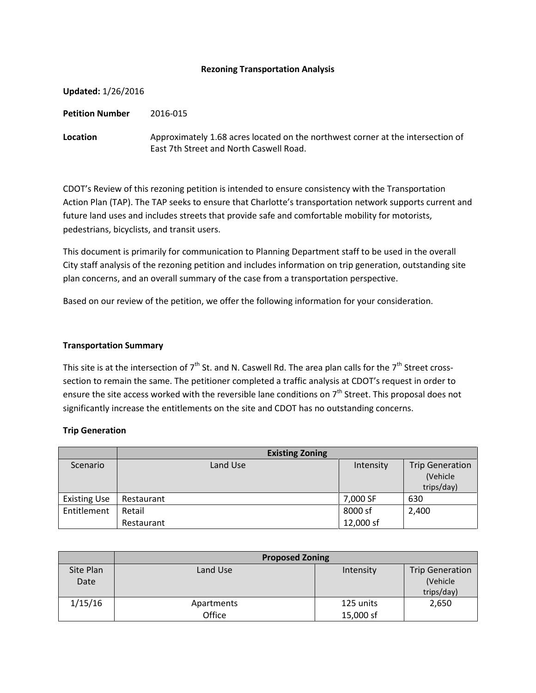#### **Rezoning Transportation Analysis**

| <b>Updated: 1/26/2016</b> |                                                                                                                            |
|---------------------------|----------------------------------------------------------------------------------------------------------------------------|
| <b>Petition Number</b>    | 2016-015                                                                                                                   |
| Location                  | Approximately 1.68 acres located on the northwest corner at the intersection of<br>East 7th Street and North Caswell Road. |

CDOT's Review of this rezoning petition is intended to ensure consistency with the Transportation Action Plan (TAP). The TAP seeks to ensure that Charlotte's transportation network supports current and future land uses and includes streets that provide safe and comfortable mobility for motorists, pedestrians, bicyclists, and transit users.

This document is primarily for communication to Planning Department staff to be used in the overall City staff analysis of the rezoning petition and includes information on trip generation, outstanding site plan concerns, and an overall summary of the case from a transportation perspective.

Based on our review of the petition, we offer the following information for your consideration.

#### **Transportation Summary**

This site is at the intersection of  $7<sup>th</sup>$  St. and N. Caswell Rd. The area plan calls for the  $7<sup>th</sup>$  Street crosssection to remain the same. The petitioner completed a traffic analysis at CDOT's request in order to ensure the site access worked with the reversible lane conditions on 7<sup>th</sup> Street. This proposal does not significantly increase the entitlements on the site and CDOT has no outstanding concerns.

## **Trip Generation**

|                     | <b>Existing Zoning</b> |           |                                                  |
|---------------------|------------------------|-----------|--------------------------------------------------|
| Scenario            | Land Use               | Intensity | <b>Trip Generation</b><br>(Vehicle<br>trips/day) |
| <b>Existing Use</b> | Restaurant             | 7,000 SF  | 630                                              |
| Entitlement         | Retail                 | 8000 sf   | 2,400                                            |
|                     | Restaurant             | 12,000 sf |                                                  |

|           | <b>Proposed Zoning</b> |           |                        |  |
|-----------|------------------------|-----------|------------------------|--|
| Site Plan | Land Use               | Intensity | <b>Trip Generation</b> |  |
| Date      |                        |           | (Vehicle)              |  |
|           |                        |           | trips/day)             |  |
| 1/15/16   | Apartments             | 125 units | 2,650                  |  |
|           | Office                 | 15,000 sf |                        |  |